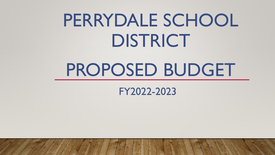# PERRYDALE SCHOOL DISTRICT

# PROPOSED BUDGET

FY2022-2023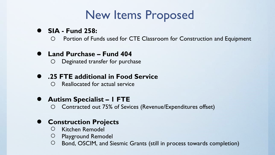# New Items Proposed

## ● **SIA - Fund 258:**

o Portion of Funds used for CTE Classroom for Construction and Equipment

## ● **Land Purchase – Fund 404**

o Deginated transfer for purchase

## ● **.25 FTE additional in Food Service**

o Reallocated for actual service

## ● **Autism Specialist – 1 FTE**

Contracted out 75% of Sevices (Revenue/Expenditures offset)

## **Construction Projects**

- Kitchen Remodel
- Playground Remodel
- Bond, OSCIM, and Siesmic Grants (still in process towards completion)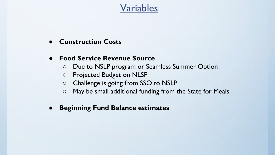## Variables

- **Construction Costs**
- **Food Service Revenue Source**
	- Due to NSLP program or Seamless Summer Option
	- Projected Budget on NLSP
	- Challenge is going from SSO to NSLP
	- May be small additional funding from the State for Meals
- **Beginning Fund Balance estimates**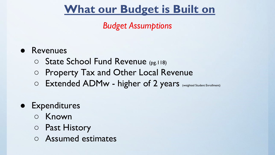# **What our Budget is Built on**

## *Budget Assumptions*

## ● Revenues

- State School Fund Revenue (pg.118)
- Property Tax and Other Local Revenue
- O Extended ADMw higher of 2 years (Weighted Student Enrollment)

## ● Expenditures

- Known
- Past History
- Assumed estimates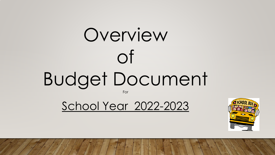# Overview of Budget Document

For

School Year 2022-2023

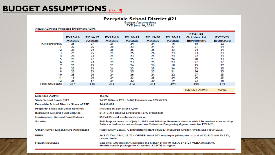## **BUDGET ASSUMPTIONS** (PG. 10)

# Perrydale School District #21<br>Budget Assumptions<br>FYE June 30, 2023

#### Actual ADM and Projected Enrollment ADM:

|                       | <b>FY15-16</b><br><b>Actuals</b> | <b>FY16-17</b><br><b>Actuals</b> | <b>FY17-18</b><br><b>Actuals</b> | <b>FY 18-19</b><br><b>Actuals</b> | FY 19-20<br><b>Actuals</b> | FY 20-21<br><b>Actuals</b> | FY21-22<br><b>October 1st</b><br><b>Enrollment</b> | FY22-23<br><b>Estimated</b> |
|-----------------------|----------------------------------|----------------------------------|----------------------------------|-----------------------------------|----------------------------|----------------------------|----------------------------------------------------|-----------------------------|
| Kindergarten          | 25                               | 27                               | 21                               | 24                                | 24                         | 16                         | 18                                                 | 22                          |
|                       | 22                               | 25                               | 28                               | 23                                | 24                         | 27                         | 21                                                 | 24                          |
|                       | 23                               | 24                               | 25                               | 25                                | 25                         | 23                         | 24                                                 | 24                          |
|                       | 24                               | 25                               | 25                               | 25                                | 26                         | 24                         | 24                                                 | 24                          |
|                       | 28                               | 23                               | 25                               | 23                                | 25                         | 24                         | 22                                                 | 24                          |
|                       | 24                               | 27                               | 23                               | 25                                | 23                         | 26                         | 28                                                 | 24                          |
|                       | 25                               | 24                               | 25                               | 23                                | 25                         | 24                         | 27                                                 | 27                          |
|                       | 25                               | 25                               | 23                               | 26                                | 26                         | 18                         | 25                                                 | 27                          |
|                       | 23                               | 23                               | 26                               | 23                                | 25                         | 26                         | 23                                                 | 25                          |
|                       | 25                               | 23                               | 21                               | 25                                | 23                         | 21                         | 24                                                 | 25                          |
| 10                    | 25                               | 26                               | 24                               | 26                                | 24                         | 22                         | 27                                                 | 25                          |
| п                     | 16                               | 26                               | 24                               | 23                                | 25                         | 24                         | 20                                                 | 25                          |
| 12                    | 28                               | 17                               | 24                               | 22                                | 20                         | 19                         | 23                                                 | 18                          |
| <b>Total Students</b> | 314                              | 315                              | 313                              | 312                               | 315                        | 294                        | 306                                                | 314                         |

**Extended ADMw** 459.02

| <b>Extended ADMw</b>                          | 459.02                                                                                                                                                                                  |
|-----------------------------------------------|-----------------------------------------------------------------------------------------------------------------------------------------------------------------------------------------|
| <b>State School Fund (SSF)</b>                | 9.299 Billion (49/51 Split) Estimate on 02/25/2022                                                                                                                                      |
| <b>Perrydale School District Share of SSF</b> | \$4,430,089                                                                                                                                                                             |
| <b>Property Taxes and Local Revenue</b>       | Included in SSF at \$617,200                                                                                                                                                            |
| <b>Beginning General Fund Balance</b>         | \$1,717,313 used as a resource (27% of budget)                                                                                                                                          |
| <b>Contingency General Fund Balance</b>       | \$535,185 used as planned reserve                                                                                                                                                       |
| <b>Salaries</b>                               | Full Step increase as of July 1, 2022 and 168 days licensed calendar with 150 student contact days.<br>Salary schedule increases based on Collective Bargaining Agreements for FY22-23. |
| Other Payroll Expenditure Anticipated         | Paid Family Leave. Contributions start 01/2023. Required Oregon Wage and Hour Laws.                                                                                                     |
| <b>PERS</b>                                   | 26.83% Teir I & II, 23.72% OPSRP and 6.00% employer pickup for a total of 32.83% and 29.72%,<br>respectively.                                                                           |
| <b>Health Insurance</b>                       | Cap of \$1,509 monthly, includes the higher of (\$190 H.S.A or \$127 VEBA monthly).<br>Health benefit package for Classified .50 FTE or higher.                                         |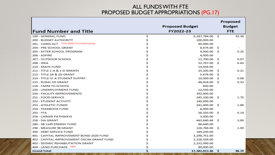### ALL FUNDS WITH FTE PROPOSED BUDGET APPROPRIATIONS (PG.17)

| <b>Fund Number and Title</b>                   |    | <b>Proposed Budget</b><br>FY2022-23 |          | <b>Proposed</b><br><b>Budget</b><br><b>FTE</b> |
|------------------------------------------------|----|-------------------------------------|----------|------------------------------------------------|
| 100 - GENERAL FUND                             | \$ | 6,287,784.00                        | - S      | 39.38                                          |
| <b>200 - BUDGET AUTHORITY</b>                  | \$ | 100,000.00                          |          |                                                |
| 201 - CARES ACT *Only ESSER II Funds Remaining | \$ | 40,000.00                           |          |                                                |
| 204 - PRE SCHOOL GRANT                         | \$ | 8,074.00                            | -S       |                                                |
| 205 - AFTER SCHOOL PROGRAM                     | \$ | 9,000.00                            | <b>S</b> | 0.25                                           |
| 206 - ASPIRE                                   | \$ | 4,000.00                            |          |                                                |
| 207 - OUTDOOR SCHOOL                           | \$ | 11,700.00                           | -S       | 0.07                                           |
| 208 - IDEA                                     | \$ | 52,707.00                           | Ŝ.       | 0.63                                           |
| 210 - ERATE FUND                               | \$ | 14,956.00                           |          |                                                |
| 211 - TITLE 1-A & 1-D GRANTS                   | \$ | 25,200.00                           | <b>S</b> | 0.21                                           |
| 213 - TITLE 2A & 2D GRANT                      | \$ | 5,676.00                            | -S       |                                                |
| <b>214 - TITLE IV-A STUDENT SUPPRT</b>         | \$ | 10,000.00                           | <b>S</b> | 0.08                                           |
| 215 - RURAL ED GRANT                           | \$ | 46,418.00                           | -S       | 0.33                                           |
| 218 - FARM TO SCHOOL                           | \$ | 850.00                              |          |                                                |
| 220 - UNEMPLOYMENT FUND                        | \$ | 12.550.00                           |          |                                                |
| <b>250 - FACILITY IMPROVEMENTS</b>             | \$ | 392,000.00                          |          |                                                |
| 251 - FOOD SERVICE                             | \$ | 245,100.00                          | -S       | 1.75                                           |
| <b>252 - STUDENT ACTIVITY</b>                  | \$ | 140,000.00                          |          |                                                |
| <b>253 - ATHLETIC FUNDS</b>                    | \$ | 241,400.00                          | S        | 1.86                                           |
| 254 - YEARBOOK FUND                            | \$ | 8,000.00                            |          |                                                |
| 255 - FFA                                      | \$ | 36,350.00                           | s.       | 0.14                                           |
| 256 - CAREER PATHWAYS                          | \$ | 3,000.00                            |          |                                                |
| 258 - SIA GRANT                                | \$ | 443,640.46                          | -S       | 3.00                                           |
| 260 - SB 1149 ENERGY FUND                      | \$ | 88.640.00                           |          |                                                |
| 298 - MEASURE 98 GRANT                         | \$ | 126,768.00                          | -S       | 1.00                                           |
| 300 - DEBT SERVICE FUND                        | Ś  | 189,250.00                          |          |                                                |
| 401 - CAPITAL IMPROVEMENT BOND 2020 FUND       | \$ | 3,298,751.00                        |          |                                                |
| 402 - CAPITAL IMPROVEMENT OSCIM GRANT FUND     | \$ | 3,228,109.00                        |          |                                                |
| <b>403 - SEISMIC REHABILITATION GRANT</b>      | \$ | 2,232,990.00                        |          |                                                |
| 404 - LAND PURCHASE *NEW                       | Ś  | 80,000.00                           |          |                                                |
| <b>Grand Total</b>                             | Š  | 17,382,913.46                       | -Ŝ       | 48.70                                          |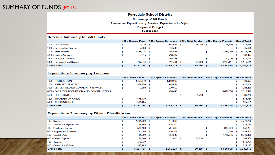#### **Perrydale School District**

#### **Summary of All Funds**

#### Revenue and Expenditures by Function / Expenditures by Object

#### **Proposed Budget**

#### FY2022-2023

#### **Revenue Summary for All Funds**

|                               | 100 - General Fund | <b>200 - Special Revenues</b> |      | 300 - Debt Service | 400 - Capital Projects | <b>Grand Total</b> |
|-------------------------------|--------------------|-------------------------------|------|--------------------|------------------------|--------------------|
| 1000 - Local Sources          | 701.220 \$         | $195,686$ \$                  |      | $166,250$ \$       | 15,600                 | 1.078.756          |
| 2000 - Intermediate Sources   | 2,000S             | 33,640                        |      |                    |                        | 35,640             |
| 3000 - State Sources          | 3,865,226          | 446,861                       |      |                    | 5,461,099              | 9,773,186          |
| 4000 - Federal Sources        | $2,025$ \$         | 298,402                       |      |                    |                        | 300,427            |
| 5200 - Interfund Transfers    |                    | 598,739                       |      |                    | 80,000                 | 678,739            |
| 5400 - Beginning Fund Balance | $1,717,313$ \$     | 492,701                       |      | 23,000 \$          | 3,283,151              | 5.516.165          |
| <b>Grand Total</b>            | 6,287,784          | 2,066,029                     | - \$ | $189,250$ \$       | 8,839,850              | \$17,382,913       |

#### **Expenditure Summary by Function**

|                                               | 100 - General Fund |  | <b>200 - Special Revenues</b> |  | 300 - Debt Service | 400 - Capital Projects |           | <b>Grand Total</b> |
|-----------------------------------------------|--------------------|--|-------------------------------|--|--------------------|------------------------|-----------|--------------------|
| 1000 - INSTRUCTION                            | 3.201.510          |  | 1.198.583                     |  |                    |                        |           | 4,400,093          |
| 2000 - SUPPORT SERVICES                       | 1,868,850 \$       |  | 108,856                       |  |                    |                        |           | 1,977,706          |
| 3000 - ENTERPRISE AND COMMUNITY SERVICES      | $3,500$ \$         |  | 279,950                       |  |                    |                        |           | 283,450            |
| 4000 - FACILITIES ACOUISTION AND CONSTRUCTION |                    |  | 478,640                       |  |                    |                        | 8,839,850 | 9.318,490          |
| 5100 - DEBT SERVICE                           |                    |  |                               |  | 189,250            |                        |           | 189,250            |
| <b>5200 - TRANSFER OF FUNDS</b>               | 678,739            |  |                               |  |                    |                        |           | 678,739            |
| <b>6000 - CONTINGENCIES</b>                   | 535,185            |  |                               |  |                    |                        |           | 535.185            |
| <b>Grand Total</b>                            | 6.287.784          |  | 2.066.029                     |  | $189.250$ \$       |                        | 8,839,850 | \$17,382.913       |

#### **Expenditure Summary by Object Classification**

|                                  | 100 - General Fund |     | 200 - Special Revenues | 300 - Debt Service | 400 - Capital Projects |      | <b>Grand Total</b> |
|----------------------------------|--------------------|-----|------------------------|--------------------|------------------------|------|--------------------|
| 100 - Salaries                   | 2,335,700 \$       |     | 444,080                |                    |                        |      | 2,779,780          |
| 200 - Associated Payroll Costs   | 1,729,860 \$       |     | 326,200                |                    |                        |      | 2,056,060          |
| 300 - Purchased Services         | 638,600 \$         |     | 201,600                |                    | 1,028,004              | - \$ | 1,868,204          |
| 400 - Supplies and Materials     | 275,800 \$         |     | 478,709                |                    | $100,000$ \$           |      | 854,509            |
| 500 - Capital Outlay             | $15,000$ \$        |     | 593,640                |                    | 7,711,846              |      | 8,320,486          |
| 600 - Other Objects              | 78,900 \$          |     | 21,800 \$              | 189,250            |                        |      | 289,950            |
| 1700 - Transfers                 | 678,739            |     |                        |                    |                        |      | 678,739            |
| <b>1800 - Other Use of Funds</b> | 535,185            |     |                        |                    |                        |      | 535,185            |
| <b>Grand Total</b>               | 6,287,784          | -\$ | $2.066.029$ \$         | $189.250$ \$       | 8,839,850              |      | \$17,382,913       |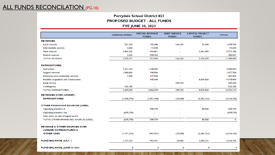## ALL FUNDS RECONCILATION (PG.16)

### Perrydale School District #21 PROPOSED BUDGET - ALL FUNDS **FYE JUNE 30, 2023**

|                                                                   | <b>GENERAL FUNDS</b> | <b>SPECIAL REVENUE</b><br><b>FUNDS</b> | <b>DEBT SERVICE</b><br><b>FUNDS</b> | <b>CAPITAL PROJECT</b><br><b>FUNDS</b> | <b>TOTAL</b> |
|-------------------------------------------------------------------|----------------------|----------------------------------------|-------------------------------------|----------------------------------------|--------------|
| <b>REVENUES</b>                                                   |                      |                                        |                                     |                                        |              |
| <b>Local sources</b>                                              | 701,220              | 195,686                                | 166,250                             | 15,600                                 | 1.078.756    |
| Intermediate sources                                              | 2,000                | 33,640                                 |                                     |                                        | 35,640       |
| <b>State sources</b>                                              | 3,865,226            | 446,861                                | ÷,                                  | 5,461,099                              | 9,773,186    |
| <b>Federal sources</b>                                            | 2.025                | 298.402                                |                                     |                                        | 300,427      |
| <b>TOTAL REVENUE</b>                                              | 4,570,471            | 974,589                                | 166,250                             | 5,476,699                              | 11,188,009   |
| <b>EXPENDITURES</b>                                               |                      |                                        |                                     |                                        |              |
| Instruction                                                       | 3.201.510            | 1.198.583                              |                                     |                                        | 4,400,093    |
| <b>Support services</b>                                           | 1,868,850            | 108,856                                |                                     |                                        | 1,977,706    |
| <b>Enterprise and community services</b>                          | 3.500                | 279,950                                |                                     |                                        | 283,450      |
| Facilities acquisition and construction                           |                      | 478,640                                |                                     | 8,839,850                              | 9,318,490    |
| Debt service                                                      |                      |                                        | 189,250                             |                                        | 189,250      |
| Contingency                                                       | 535.185              | ٠                                      | $\overline{\phantom{a}}$            |                                        | 535,185      |
| <b>TOTAL EXPENDITURES</b>                                         | 5.609.045            | 2,066,029                              | 189,250                             | 8,839,850                              | 16,704,174   |
| <b>REVENUES OVER (UNDER)</b>                                      |                      |                                        |                                     |                                        |              |
| <b>EXPENDITURES</b>                                               | (1,038,574)          | (1,091,440)                            | (23,000)                            | (3,363,151)                            | (5,516,165)  |
| <b>OTHER FINANCING SOURCES (USES)</b>                             |                      |                                        |                                     |                                        |              |
| Operating transfers in                                            |                      | 598,739                                |                                     | 80,000                                 | 678,739      |
| Operating transfers out                                           | (678, 739)           |                                        |                                     |                                        | (678, 739)   |
| Gain (loss) on sale of capital assets                             |                      |                                        |                                     |                                        |              |
| TOTAL OTHER FINANCING SOURCES (USES)                              | (678, 739)           | 598,739                                | ×.                                  | 80,000                                 | $\mathbf 0$  |
| <b>REVENUE &amp; OTHER SOURCES OVER</b><br>(UNDER) EXPENDITURES & |                      |                                        |                                     |                                        |              |
| <b>OTHER USES</b>                                                 | (1,717,313)          | (492,701)                              | (23,000)                            | (3, 283, 151)                          | (5,516,165)  |
| <b>FUND BALANCE, JULY 1</b>                                       | 1,717,313            | 492,701                                | 23,000                              | 3.283.151                              | 5.516.165    |
| FUND BALANCE, JUNE 30 2023                                        | $\mathbf 0$          | 0                                      | 0                                   | 0                                      | $\circ$      |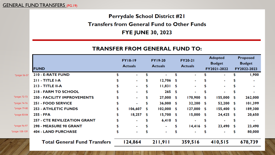## Perrydale School District #21

## **Transfers from General Fund to Other Funds**

## **FYE JUNE 30, 2023**

### **TRANSFER FROM GENERAL FUND TO:**

|             |                                     |    | <b>FY18-19</b>           |    | <b>FY19-20</b> |                | <b>FY20-21</b> | <b>Adopted</b> |                | <b>Proposed</b> |             |
|-------------|-------------------------------------|----|--------------------------|----|----------------|----------------|----------------|----------------|----------------|-----------------|-------------|
|             |                                     |    |                          |    | <b>Actuals</b> | <b>Actuals</b> |                | <b>Budget</b>  |                | <b>Budget</b>   |             |
|             | <b>FUND</b>                         |    | <b>Actuals</b>           |    |                |                |                |                | FY2021-2022    |                 | FY2022-2023 |
| *page 56-57 | 210 - E-RATE FUND                   |    |                          |    |                |                |                |                | ۰              |                 | 1,900       |
|             | $211 - T$ ITLE I-A                  |    | $\sim$                   | \$ | 12,706         | \$             | ۰.             | \$             |                |                 |             |
|             | <b>213 - TITLE II-A</b>             |    | $\blacksquare$           | \$ | 11,831         | \$             | ٠              |                | $\blacksquare$ |                 |             |
|             | <b>218 - FARM TO SCHOOL</b>         |    | $\blacksquare$           | \$ | 265            | $\sqrt{5}$     | ۰              |                |                |                 |             |
| *page 72-73 | 250 - FACILITY IMPROVEMENTS         |    | $\overline{\phantom{a}}$ | \$ | 27,000         | \$             | 170,900        | \$             | 155,000        | - \$            | 262,000     |
| page 74-76* | 251 - FOOD SERVICE                  |    | $\overline{\phantom{0}}$ | \$ | $36,000$ \$    |                | 32,200 \$      |                | 52,200 \$      |                 | 101,399     |
| *page 79-80 | <b>253 - ATHLETIC FUNDS</b>         |    | 106,607                  | \$ | 102,000        | \$             | $127,000$ \$   |                | $155,400$ \$   |                 | 189,300     |
| *page 83-84 | 255 - FFA                           | \$ | 18,257                   | \$ | 15,700         | \$             | $15,000$ \$    |                | $24,425$ \$    |                 | 20,650      |
|             | <b>257 - CTE REVILIZATION GRANT</b> |    | $\blacksquare$           | \$ | $6,410$ \$     |                | -              | \$             |                |                 |             |
| *page 96-97 | 298 - MEASURE 98 GRANT              |    | $\blacksquare$           | \$ | $\mathbf{r}$   | \$             | 14,416         | \$             | 23,490         | \$              | 23,490      |
| age 108-109 | <b>404 - LAND PURCHASE</b>          | \$ |                          |    |                |                |                | \$             |                | S               | 80,000      |
|             | <b>Total General Fund Transfers</b> |    | 124,864                  |    | 211,911        |                | 359,516        |                | 410,515        |                 | 678,739     |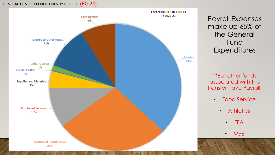### GENERAL FUND EXPENDITURES BY OBJECT (PG.24)



Payroll Expenses make up 65% of the General Fund **Expenditures** 

\*\*But other funds associated with this transfer have Payroll:

- Food Service
	- **Athletics** 
		- FFA
		- M98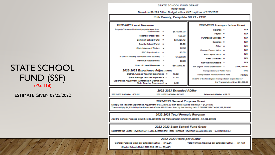#### STATE SCHOOL FUND GRANT 2022-2023 Based on \$9.299 Billion Budget with a 49/51 split as of 2/25/2022

|                                                                                  |     |                         | Polk County, Perrydale SD 21 - 2192                      |                                      |  |  |  |
|----------------------------------------------------------------------------------|-----|-------------------------|----------------------------------------------------------|--------------------------------------|--|--|--|
| 2022-2023 Local Revenue                                                          |     |                         | 2022-2023 Transportation Grant                           |                                      |  |  |  |
| Property Taxes and in-leu of property taxes from<br>local sources                | -   | \$575,838.00            | Salaries =                                               | <b>NIA</b>                           |  |  |  |
| Federal Forest Fees =                                                            |     | \$25.00                 | Pawroll =                                                | <b>NIA</b>                           |  |  |  |
| Common School Fund =                                                             |     | \$34,337,43             | Purchased Services =                                     | <b>NIA</b>                           |  |  |  |
| County School Fund =                                                             |     | \$0.00                  | Supplies $=$<br>Other $=$                                | <b>NIA</b>                           |  |  |  |
| <b>State Managed Timber</b>                                                      | - = | \$0.00                  | Garage Depreciation =                                    | <b>NIA</b><br><b>NIA</b>             |  |  |  |
| ESD Equalization                                                                 | - = | \$0.00                  | Bus Depreciation =                                       | <b>NIA</b>                           |  |  |  |
| In-Lieu of Property Taxes(non-local sources) ==                                  |     | \$7,000.00              | Fees Colected =                                          | <b>NIA</b>                           |  |  |  |
| Revenue Adjustments =                                                            |     | \$0.00                  | Non-Reimburseable =                                      | <b>NIA</b>                           |  |  |  |
| Sum of Local Revenue =                                                           |     | \$617,200.43            | Net Eligible Trans Expenditures =                        | \$135,000.00                         |  |  |  |
| 2022-2023 Experience Adjustment                                                  |     |                         | <b>Transportation per ADMr Rank</b>                      | 14%                                  |  |  |  |
| District Average Teacher Experience =                                            |     | 13.02                   | <b>Transportation Reimbursement Rate</b>                 | 70.00%                               |  |  |  |
| State Average Teacher Experience =                                               |     | 12.30                   | 70.00% of the Net Eligible Transportation Expenditures = |                                      |  |  |  |
| Experience Adjustment (Difference in District and<br>State Teacher Experience) = |     | 0.72                    |                                                          | the Transportation Grant \$94,500.00 |  |  |  |
|                                                                                  |     |                         |                                                          |                                      |  |  |  |
|                                                                                  |     | 2022-2023 Extended ADMw |                                                          |                                      |  |  |  |
| 2022-2023 ADMw 459.02<br>2021-2022 ADMw 445.67<br>Extended ADMw 439.02           |     |                         |                                                          |                                      |  |  |  |

#### 2022-2023 General Purpose Grant

Multiply the Teacher Experience Adjustment of 0.72 by \$25 then add \$4500 to the result = \$4,518.00 Then multiply \$4,518.00 by the Extended ADMw 459.02 and then by the funding ratio 2.09059674947 = \$4,335,589.00

#### 2022-2023 Total Formula Revenue

Add the General Purpose Grant \$4,335,589.00 to the Transportation Grant \$94,500.00 = \$4,430,089.00

#### 2022-2023 State School Fund Grant

Subtract the Local Revenue \$617,200.43 from the Total Formula Revenue \$4,430,089.00 = \$3,812,888.57

#### 2022-2023 Rates per ADMw

Total Formula Revenue per Extended ADMw = \$9,651

**STATE SCHOOL** FUND (SSF)  $(PG. 118)$ 

**ESTIMATE GIVEN 02/25/2022** 

General Purpose Grant per Extended ADMw = \$9,445 Charter Schools Rate( ORS 338.155) = \$9,445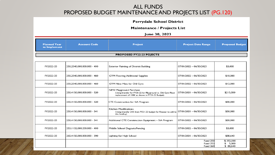### ALL FUNDS PROPOSED BUDGET MAINTENANCE AND PROJECTS LIST (PG.120)

#### Perrydale School District

#### Maintenance / Projects List

#### June 30, 2023

| <b>Planned Year</b><br>to Implement | <b>Account Code</b>        | <b>Project</b>                                                                                                                             | <b>Project Date Range</b>                             | <b>Proposed Budget</b>               |  |  |
|-------------------------------------|----------------------------|--------------------------------------------------------------------------------------------------------------------------------------------|-------------------------------------------------------|--------------------------------------|--|--|
|                                     |                            | PROPOSED FY22-23 POJECTS                                                                                                                   |                                                       |                                      |  |  |
|                                     |                            |                                                                                                                                            |                                                       |                                      |  |  |
| FY2022-23                           | 250.2540.000.000.000 - 410 | Exterior Painting of District Building                                                                                                     | 07/01/2022 - 06/30/2023                               | \$5,000                              |  |  |
| FY2022-23                           | 250.2540.000.000.000 - 460 | GYM Flooring Additional Supplies                                                                                                           | 07/01/2022 - 06/30/2023                               | \$10,000                             |  |  |
| FY2022-23                           | 250.2540.000.000.000 - 460 | GYM New Mats for Old Gym                                                                                                                   | 07/01/2022 - 06/30/2023                               | \$12,000                             |  |  |
| FY2022-23                           | 250.4150.000.000.000 - 520 | NEW Playground Purchase<br>(Using transfer for FY21-22 for Playground vs. Old Gym Floor<br>replacement of 100K as shown in FY21-22 Budget) | $07/01/2021 - 06/30/2023$                             | \$215,000                            |  |  |
| FY2022-23                           | 250.4150.000.000.000 - 520 | CTE Construction for SIA Program                                                                                                           | 07/01/2022 - 06/30/2023                               | \$80,000                             |  |  |
| FY2022-23                           | 250.4150.000.000.000 - 541 | Kitchen Modifications<br>(Using transfer 25K from FY21-22 budget for Freezer to add to<br>this funding)                                    | 07/01/2021 - 06/30/2023                               | \$50,000                             |  |  |
| FY2022-23                           | 250.4150.000.000.000 - 541 | Additional CTE Construction Equipment - SIA Program                                                                                        | 07/01/2022 - 06/30/2023                               | \$20,000                             |  |  |
| FY2022-23                           | 253.1132.000.230.000 - 410 | Middle School Dugouts/Fencing                                                                                                              | 07/01/2022 - 06/30/2023                               | \$5,000                              |  |  |
| FY2022-23                           | 260.4150.000.000.000 - 390 | Lighting for High School                                                                                                                   | 07/01/2021 - 06/30/2023                               | \$88,640                             |  |  |
|                                     |                            |                                                                                                                                            | <b>Fund 250</b><br><b>Fund 253</b><br><b>Fund 260</b> | \$392,000<br>5,000<br>£.<br>\$88,640 |  |  |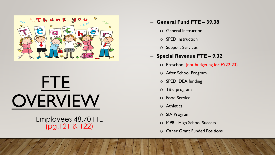

# FTE **OVERVIEW**

## Employees 48.70 FTE (pg.121 & 122)

## – **General Fund FTE – 39.38**

- o General Instruction
- o SPED Instruction
- o Support Services

## – **Special Revenue FTE – 9.32**

- o Preschool (not budgeting for FY22-23)
- o After School Program
- o SPED IDEA funding
- o Title program
- o Food Service
- o Athletics
- o SIA Program
- o M98 High School Success
- o Other Grant Funded Positions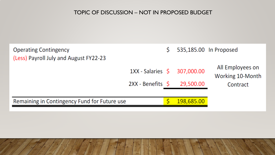## TOPIC OF DISCUSSION – NOT IN PROPOSED BUDGET

| <b>Operating Contingency</b><br>(Less) Payroll July and August FY22-23 |                                          |                         | 535,185.00 In Proposed               |
|------------------------------------------------------------------------|------------------------------------------|-------------------------|--------------------------------------|
|                                                                        | 1XX - Salaries \$<br>$2XX - Benefits$ \$ | 307,000.00<br>29,500.00 | All Employees on<br>Working 10-Month |
| Remaining in Contingency Fund for Future use                           |                                          | 198,685.00              | Contract                             |